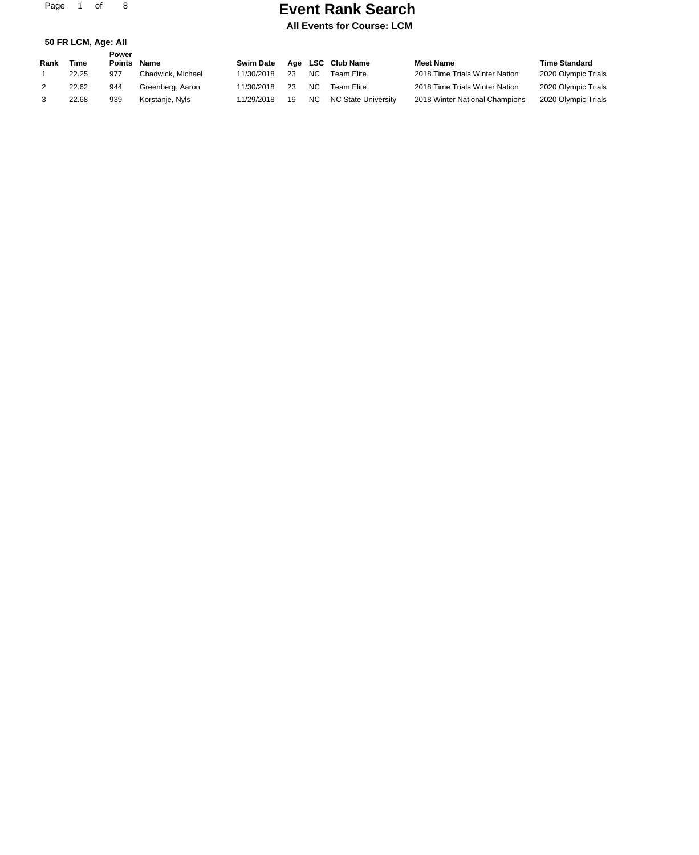Page 1 of 8

**50 FR LCM, Age: All**

### **Event Rank Search**

### **All Events for Course: LCM**

| Rank | Time  | Power<br><b>Points</b> | <b>Name</b>       | <b>Swim Date</b> |    |           | Age LSC Club Name   | <b>Meet Name</b>               | <b>Time Standard</b> |
|------|-------|------------------------|-------------------|------------------|----|-----------|---------------------|--------------------------------|----------------------|
|      | 22.25 | 977                    | Chadwick, Michael | 11/30/2018       | 23 | <b>NC</b> | Team Elite          | 2018 Time Trials Winter Nation | 2020 Olympic Trials  |
|      | 22.62 | 944                    | Greenberg, Aaron  | 11/30/2018       | 23 | <b>NC</b> | Team Elite          | 2018 Time Trials Winter Nation | 2020 Olympic Trials  |
|      | 22.68 | 939                    | Korstanje, Nyls   | 11/29/2018       | 19 | NC.       | NC State University | 2018 Winter National Champions | 2020 Olympic Trials  |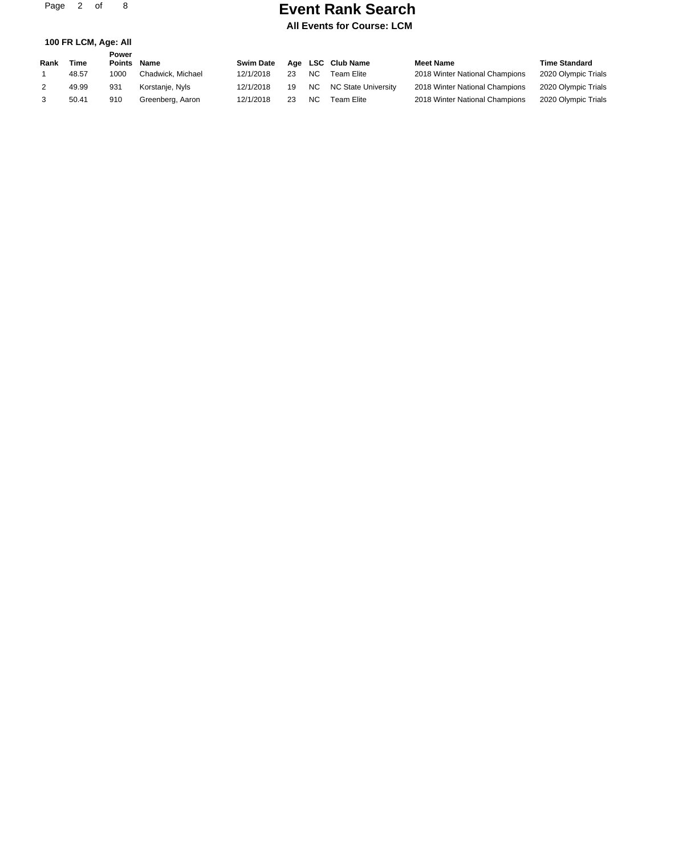Page 2 of 8

### **Event Rank Search**

**All Events for Course: LCM**

| 100 FR LCM, Age: All |  |
|----------------------|--|
|----------------------|--|

|      |       | Power         |                   |                  |    |           |                            |                                |                      |
|------|-------|---------------|-------------------|------------------|----|-----------|----------------------------|--------------------------------|----------------------|
| Rank | Time  | <b>Points</b> | <b>Name</b>       | <b>Swim Date</b> |    |           | Age LSC Club Name          | <b>Meet Name</b>               | <b>Time Standard</b> |
|      | 48.57 | 1000          | Chadwick, Michael | 12/1/2018        | 23 | <b>NC</b> | Team Elite                 | 2018 Winter National Champions | 2020 Olympic Trials  |
|      | 49.99 | 931           | Korstanje, Nyls   | 12/1/2018        | 19 | NC.       | <b>NC State University</b> | 2018 Winter National Champions | 2020 Olympic Trials  |
|      | 50.41 | 910           | Greenberg, Aaron  | 12/1/2018        | 23 | <b>NC</b> | Team Elite                 | 2018 Winter National Champions | 2020 Olympic Trials  |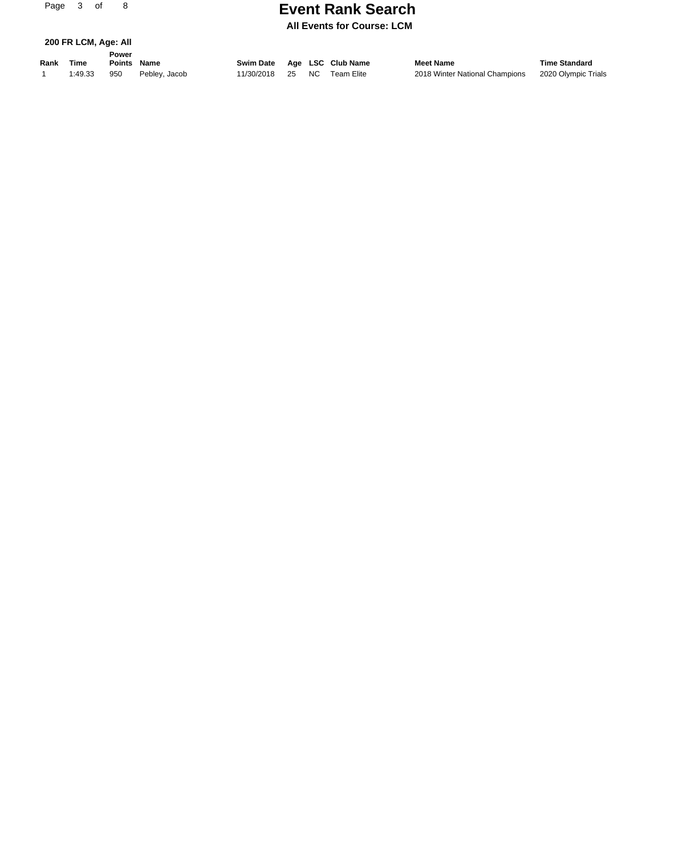# **Event Rank Search Page 21 Search**

**All Events for Course: LCM**

|  |  | 200 FR LCM, Age: All |  |
|--|--|----------------------|--|
|  |  |                      |  |

**Rank Time Name Swim Date Age LSC Club Name Meet Name Time Standard Power Points**

1 1:49.33 950 Pebley, Jacob 11/30/2018 25 NC Team Elite 2018 Winter National Champions 2020 Olympic Trials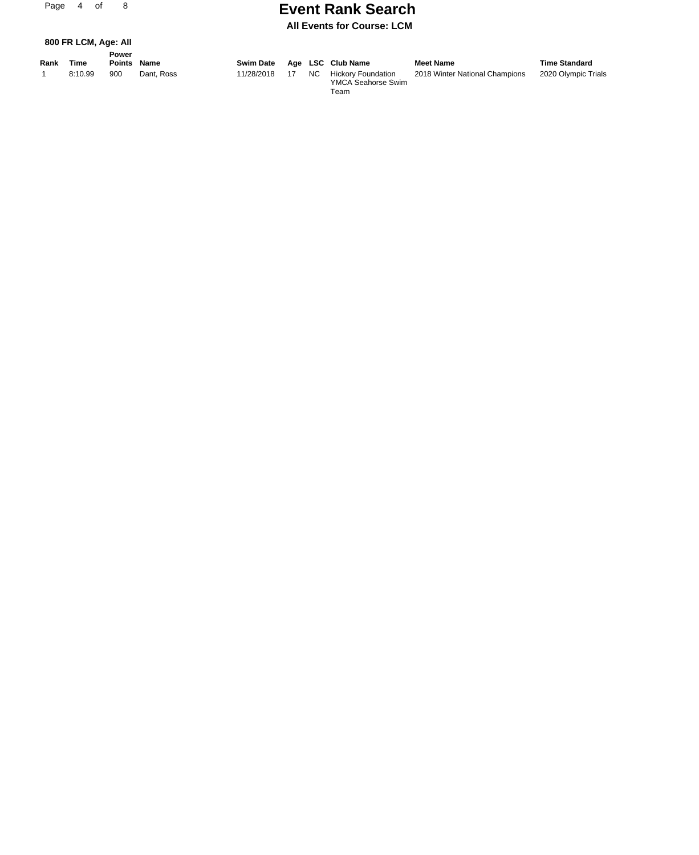## **Event Rank Search Page 2016**

**All Events for Course: LCM**

**800 FR LCM, Age: All**

|      |         | Power       |            |                  |    |      |                           |                                |                      |
|------|---------|-------------|------------|------------------|----|------|---------------------------|--------------------------------|----------------------|
| Rank | Time    | Points Name |            | <b>Swim Date</b> |    |      | Age LSC Club Name         | <b>Meet Name</b>               | <b>Time Standard</b> |
|      | 8:10.99 | 900         | Dant, Ross | 11/28/2018       | 17 | NC . | <b>Hickory Foundation</b> | 2018 Winter National Champions | 2020 Olympic Trials  |

**Rank Time Name Swim Date Age LSC Club Name Meet Name Time Standard** YMCA Seahorse Swim Team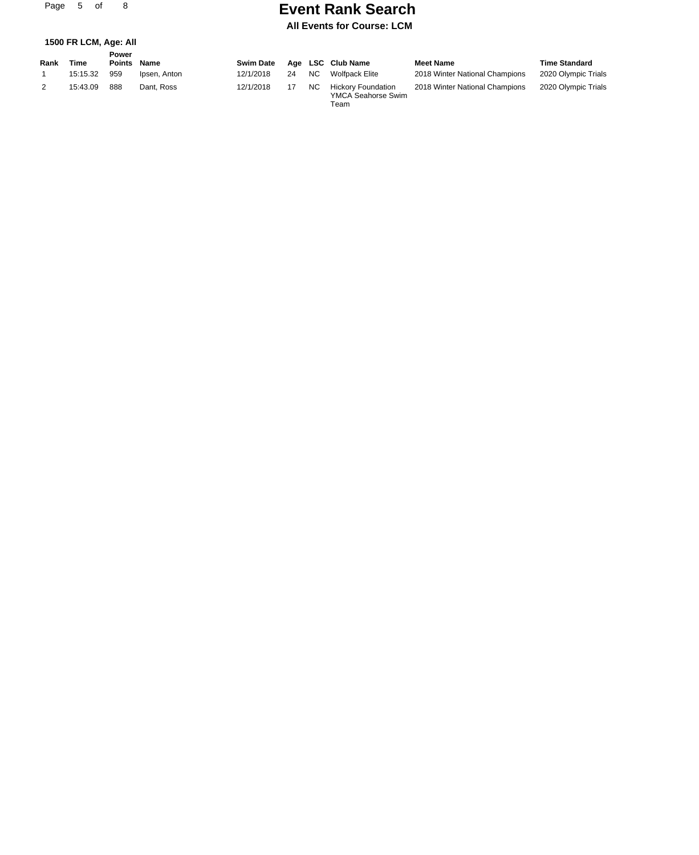Page 5 of 8

### **Event Rank Search**

#### **All Events for Course: LCM**

Team

#### **1500 FR LCM, Age: All**

|      |          | Power       |              |                  |    |           |                                                 |                                |                      |
|------|----------|-------------|--------------|------------------|----|-----------|-------------------------------------------------|--------------------------------|----------------------|
| Rank | Time     | Points Name |              | <b>Swim Date</b> |    |           | Age LSC Club Name                               | <b>Meet Name</b>               | <b>Time Standard</b> |
|      | 15:15.32 | 959         | Ipsen, Anton | 12/1/2018        | 24 | NC.       | Wolfpack Elite                                  | 2018 Winter National Champions | 2020 Olympic Trials  |
|      | 15:43.09 | 888         | Dant, Ross   | 12/1/2018        |    | <b>NC</b> | <b>Hickory Foundation</b><br>YMCA Seahorse Swim | 2018 Winter National Champions | 2020 Olympic Trials  |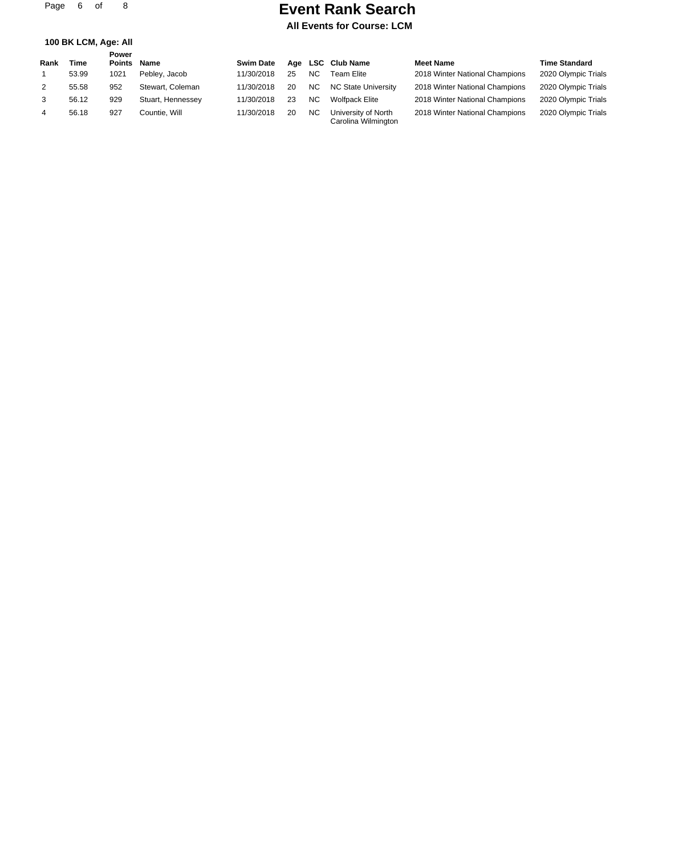Page 6 of 8

### **Event Rank Search**

**All Events for Course: LCM**

| 100 BK LCM, Age: All |  |  |  |  |  |
|----------------------|--|--|--|--|--|
|----------------------|--|--|--|--|--|

| Rank           | Time  | Power<br><b>Points</b> | Name              | <b>Swim Date</b> |    |           | Age LSC Club Name                          | <b>Meet Name</b>               | <b>Time Standard</b> |
|----------------|-------|------------------------|-------------------|------------------|----|-----------|--------------------------------------------|--------------------------------|----------------------|
|                | 53.99 | 1021                   | Pebley, Jacob     | 11/30/2018       | 25 | NC.       | Team Elite                                 | 2018 Winter National Champions | 2020 Olympic Trials  |
| 2              | 55.58 | 952                    | Stewart, Coleman  | 11/30/2018       | 20 | NC.       | NC State University                        | 2018 Winter National Champions | 2020 Olympic Trials  |
| 3              | 56.12 | 929                    | Stuart, Hennessey | 11/30/2018       | 23 | <b>NC</b> | <b>Wolfpack Elite</b>                      | 2018 Winter National Champions | 2020 Olympic Trials  |
| $\overline{4}$ | 56.18 | 927                    | Countie. Will     | 11/30/2018       | 20 | <b>NC</b> | University of North<br>Carolina Wilmington | 2018 Winter National Champions | 2020 Olympic Trials  |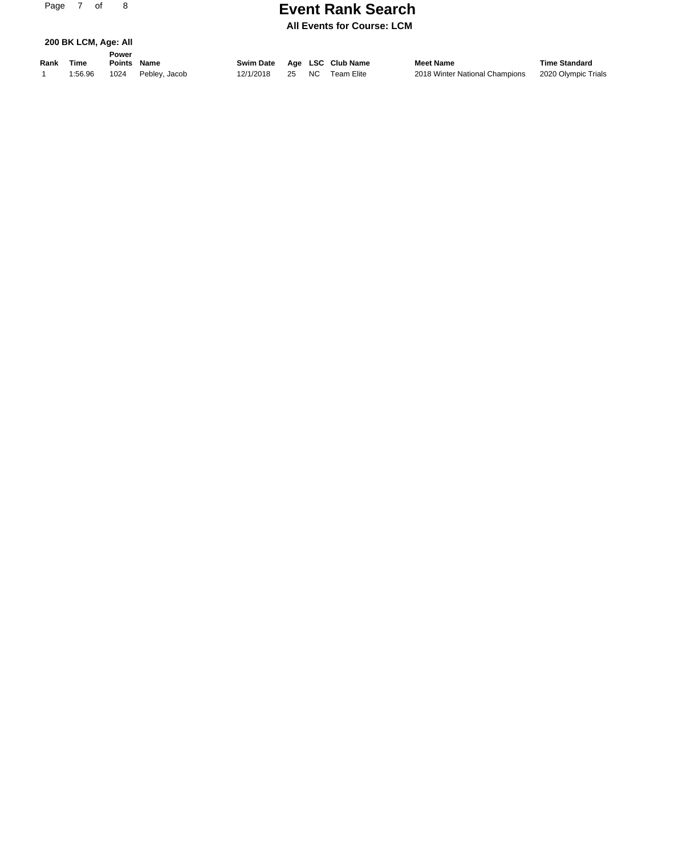# **Event Rank Search Page 21 Search**

**All Events for Course: LCM**

| 200 BK LCM, Age: All |
|----------------------|
|----------------------|

**Rank Time Name Swim Date Age LSC Club Name Meet Name Time Standard Power Points** 1 1:56.96 1024 Pebley, Jacob 12/1/2018 25 NC Team Elite 2018 Winter National Champions 2020 Olympic Trials